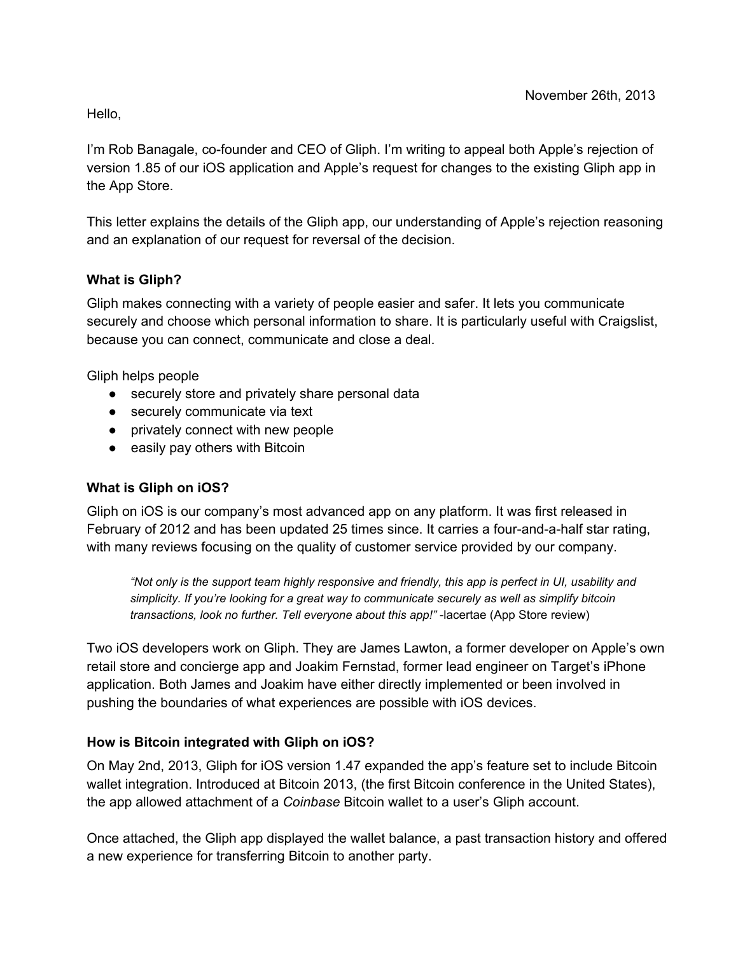Hello,

I'm Rob Banagale, co-founder and CEO of Gliph. I'm writing to appeal both Apple's rejection of version 1.85 of our iOS application and Apple's request for changes to the existing Gliph app in the App Store.

This letter explains the details of the Gliph app, our understanding of Apple's rejection reasoning and an explanation of our request for reversal of the decision.

### **What is Gliph?**

Gliph makes connecting with a variety of people easier and safer. It lets you communicate securely and choose which personal information to share. It is particularly useful with Craigslist, because you can connect, communicate and close a deal.

Gliph helps people

- securely store and privately share personal data
- securely communicate via text
- privately connect with new people
- easily pay others with Bitcoin

### **What is Gliph on iOS?**

Gliph on iOS is our company's most advanced app on any platform. It was first released in February of 2012 and has been updated 25 times since. It carries a four-and-a-half star rating, with many reviews focusing on the quality of customer service provided by our company.

"Not only is the support team highly responsive and friendly, this app is perfect in UI, usability and *simplicity. If you're looking for a great way to communicate securely as well as simplify bitcoin transactions, look no further. Tell everyone about this app!"* lacertae (App Store review)

Two iOS developers work on Gliph. They are James Lawton, a former developer on Apple's own retail store and concierge app and Joakim Fernstad, former lead engineer on Target's iPhone application. Both James and Joakim have either directly implemented or been involved in pushing the boundaries of what experiences are possible with iOS devices.

### **How is Bitcoin integrated with Gliph on iOS?**

On May 2nd, 2013, Gliph for iOS version 1.47 expanded the app's feature set to include Bitcoin wallet integration. Introduced at Bitcoin 2013, (the first Bitcoin conference in the United States), the app allowed attachment of a *Coinbase* Bitcoin wallet to a user's Gliph account.

Once attached, the Gliph app displayed the wallet balance, a past transaction history and offered a new experience for transferring Bitcoin to another party.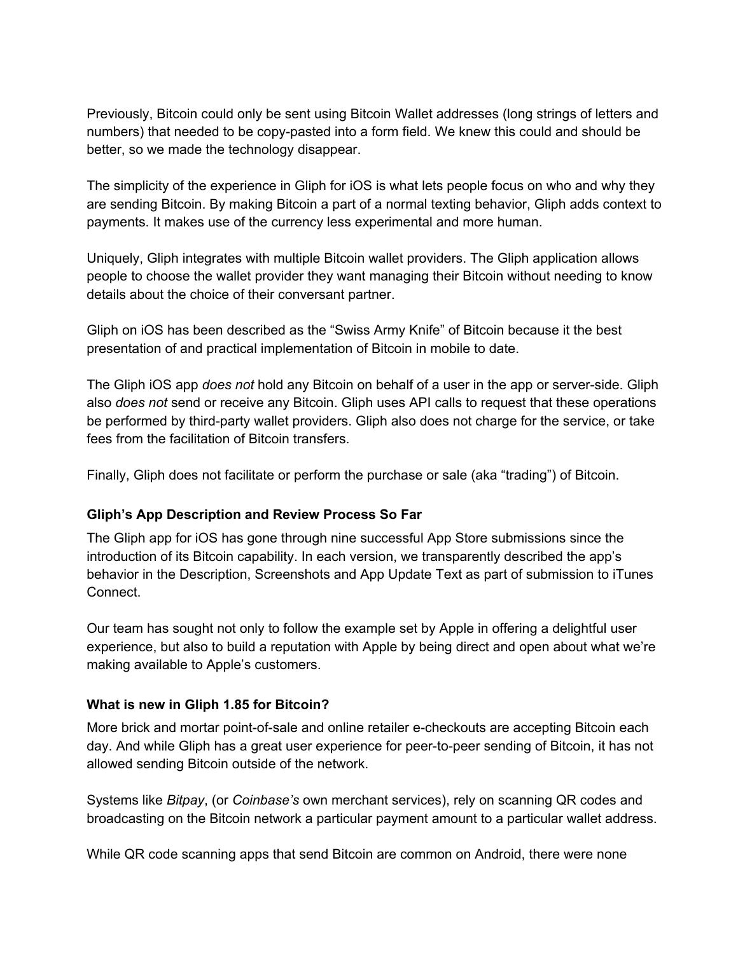Previously, Bitcoin could only be sent using Bitcoin Wallet addresses (long strings of letters and numbers) that needed to be copy-pasted into a form field. We knew this could and should be better, so we made the technology disappear.

The simplicity of the experience in Gliph for iOS is what lets people focus on who and why they are sending Bitcoin. By making Bitcoin a part of a normal texting behavior, Gliph adds context to payments. It makes use of the currency less experimental and more human.

Uniquely, Gliph integrates with multiple Bitcoin wallet providers. The Gliph application allows people to choose the wallet provider they want managing their Bitcoin without needing to know details about the choice of their conversant partner.

Gliph on iOS has been described as the "Swiss Army Knife" of Bitcoin because it the best presentation of and practical implementation of Bitcoin in mobile to date.

The Gliph iOS app *does not* hold any Bitcoin on behalf of a user in the app or serverside. Gliph also *does not* send or receive any Bitcoin. Gliph uses API calls to request that these operations be performed by third-party wallet providers. Gliph also does not charge for the service, or take fees from the facilitation of Bitcoin transfers.

Finally, Gliph does not facilitate or perform the purchase or sale (aka "trading") of Bitcoin.

### **Gliph's App Description and Review Process So Far**

The Gliph app for iOS has gone through nine successful App Store submissions since the introduction of its Bitcoin capability. In each version, we transparently described the app's behavior in the Description, Screenshots and App Update Text as part of submission to iTunes Connect.

Our team has sought not only to follow the example set by Apple in offering a delightful user experience, but also to build a reputation with Apple by being direct and open about what we're making available to Apple's customers.

### **What is new in Gliph 1.85 for Bitcoin?**

More brick and mortar point-of-sale and online retailer e-checkouts are accepting Bitcoin each day. And while Gliph has a great user experience for peer-to-peer sending of Bitcoin, it has not allowed sending Bitcoin outside of the network.

Systems like *Bitpay*, (or *Coinbase's* own merchant services), rely on scanning QR codes and broadcasting on the Bitcoin network a particular payment amount to a particular wallet address.

While QR code scanning apps that send Bitcoin are common on Android, there were none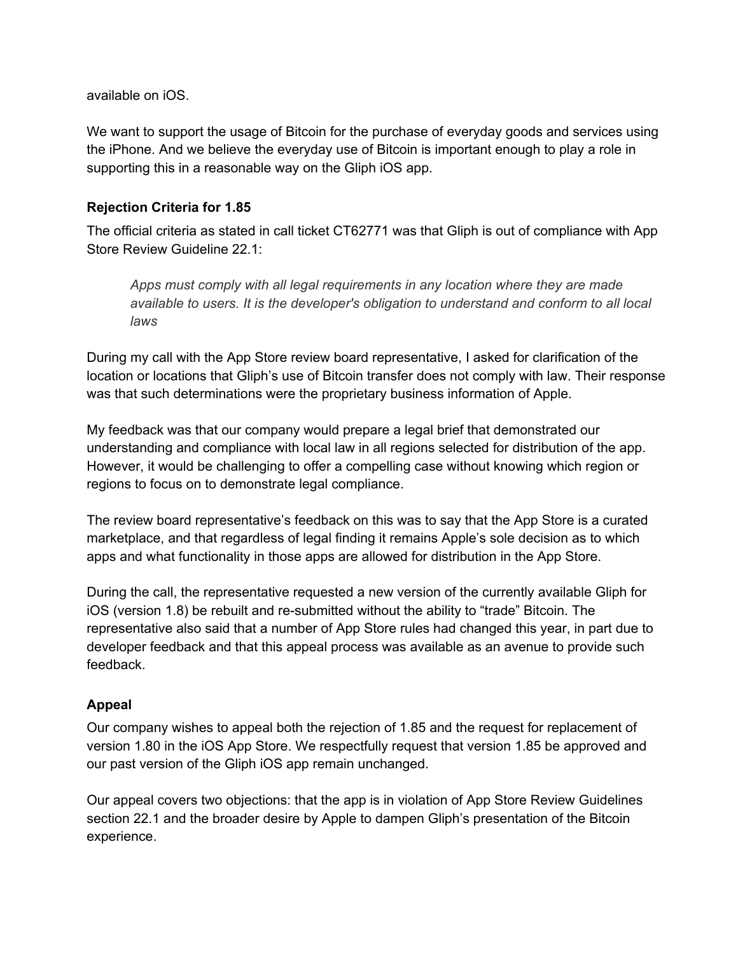available on iOS.

We want to support the usage of Bitcoin for the purchase of everyday goods and services using the iPhone. And we believe the everyday use of Bitcoin is important enough to play a role in supporting this in a reasonable way on the Gliph iOS app.

#### **Rejection Criteria for 1.85**

The official criteria as stated in call ticket CT62771 was that Gliph is out of compliance with App Store Review Guideline 22.1:

*Apps must comply with all legal requirements in any location where they are made available to users. It is the developer's obligation to understand and conform to all local laws*

During my call with the App Store review board representative, I asked for clarification of the location or locations that Gliph's use of Bitcoin transfer does not comply with law. Their response was that such determinations were the proprietary business information of Apple.

My feedback was that our company would prepare a legal brief that demonstrated our understanding and compliance with local law in all regions selected for distribution of the app. However, it would be challenging to offer a compelling case without knowing which region or regions to focus on to demonstrate legal compliance.

The review board representative's feedback on this was to say that the App Store is a curated marketplace, and that regardless of legal finding it remains Apple's sole decision as to which apps and what functionality in those apps are allowed for distribution in the App Store.

During the call, the representative requested a new version of the currently available Gliph for iOS (version 1.8) be rebuilt and re-submitted without the ability to "trade" Bitcoin. The representative also said that a number of App Store rules had changed this year, in part due to developer feedback and that this appeal process was available as an avenue to provide such feedback.

### **Appeal**

Our company wishes to appeal both the rejection of 1.85 and the request for replacement of version 1.80 in the iOS App Store. We respectfully request that version 1.85 be approved and our past version of the Gliph iOS app remain unchanged.

Our appeal covers two objections: that the app is in violation of App Store Review Guidelines section 22.1 and the broader desire by Apple to dampen Gliph's presentation of the Bitcoin experience.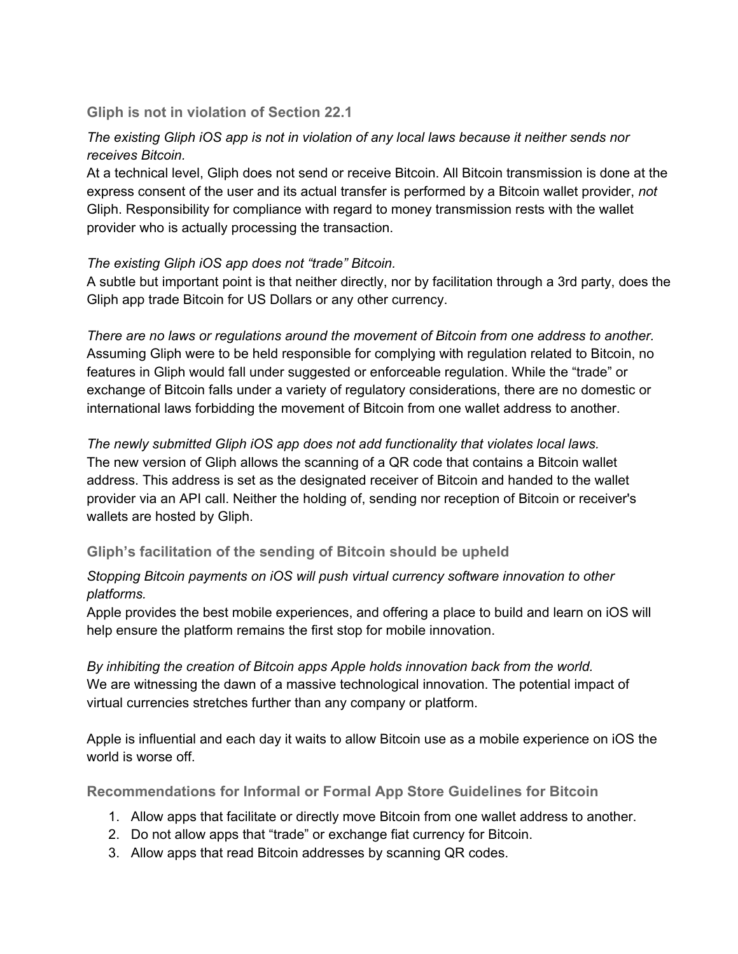### **Gliph is not in violation of Section 22.1**

# *The existing Gliph iOS app is not in violation of any local laws because it neither sends nor receives Bitcoin.*

At a technical level, Gliph does not send or receive Bitcoin. All Bitcoin transmission is done at the express consent of the user and its actual transfer is performed by a Bitcoin wallet provider, *not* Gliph. Responsibility for compliance with regard to money transmission rests with the wallet provider who is actually processing the transaction.

### *The existing Gliph iOS app does not "trade" Bitcoin.*

A subtle but important point is that neither directly, nor by facilitation through a 3rd party, does the Gliph app trade Bitcoin for US Dollars or any other currency.

*There are no laws or regulations around the movement of Bitcoin from one address to another.* Assuming Gliph were to be held responsible for complying with regulation related to Bitcoin, no features in Gliph would fall under suggested or enforceable regulation. While the "trade" or exchange of Bitcoin falls under a variety of regulatory considerations, there are no domestic or international laws forbidding the movement of Bitcoin from one wallet address to another.

## *The newly submitted Gliph iOS app does not add functionality that violates local laws.* The new version of Gliph allows the scanning of a QR code that contains a Bitcoin wallet address. This address is set as the designated receiver of Bitcoin and handed to the wallet provider via an API call. Neither the holding of, sending nor reception of Bitcoin or receiver's wallets are hosted by Gliph.

## **Gliph's facilitation of the sending of Bitcoin should be upheld**

### *Stopping Bitcoin payments on iOS will push virtual currency software innovation to other platforms.*

Apple provides the best mobile experiences, and offering a place to build and learn on iOS will help ensure the platform remains the first stop for mobile innovation.

*By inhibiting the creation of Bitcoin apps Apple holds innovation back from the world.* We are witnessing the dawn of a massive technological innovation. The potential impact of virtual currencies stretches further than any company or platform.

Apple is influential and each day it waits to allow Bitcoin use as a mobile experience on iOS the world is worse off.

**Recommendations for Informal or Formal App Store Guidelines for Bitcoin**

- 1. Allow apps that facilitate or directly move Bitcoin from one wallet address to another.
- 2. Do not allow apps that "trade" or exchange fiat currency for Bitcoin.
- 3. Allow apps that read Bitcoin addresses by scanning QR codes.